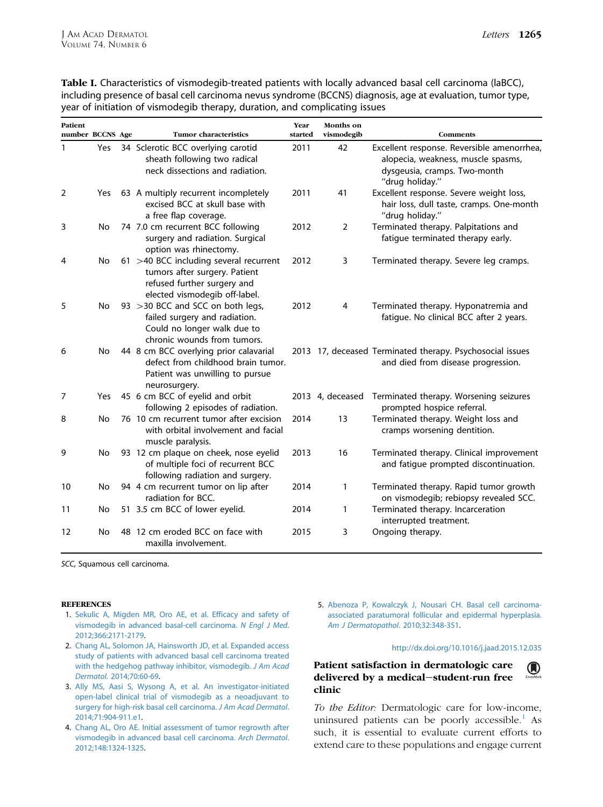| <b>Patient</b><br>number BCCNS Age |     | <b>Tumor characteristics</b>                                                                                                            | Year<br>started | Months on<br>vismodegib | Comments                                                                                                                            |
|------------------------------------|-----|-----------------------------------------------------------------------------------------------------------------------------------------|-----------------|-------------------------|-------------------------------------------------------------------------------------------------------------------------------------|
| 1                                  | Yes | 34 Sclerotic BCC overlying carotid<br>sheath following two radical<br>neck dissections and radiation.                                   | 2011            | 42                      | Excellent response. Reversible amenorrhea,<br>alopecia, weakness, muscle spasms,<br>dysgeusia, cramps. Two-month<br>"drug holiday." |
| 2                                  | Yes | 63 A multiply recurrent incompletely<br>excised BCC at skull base with<br>a free flap coverage.                                         | 2011            | 41                      | Excellent response. Severe weight loss,<br>hair loss, dull taste, cramps. One-month<br>"drug holiday."                              |
| 3                                  | No  | 74 7.0 cm recurrent BCC following<br>surgery and radiation. Surgical<br>option was rhinectomy.                                          | 2012            | 2                       | Terminated therapy. Palpitations and<br>fatigue terminated therapy early.                                                           |
| 4                                  | No  | 61 >40 BCC including several recurrent<br>tumors after surgery. Patient<br>refused further surgery and<br>elected vismodegib off-label. | 2012            | 3                       | Terminated therapy. Severe leg cramps.                                                                                              |
| 5                                  | No  | 93 > 30 BCC and SCC on both legs,<br>failed surgery and radiation.<br>Could no longer walk due to<br>chronic wounds from tumors.        | 2012            | $\overline{4}$          | Terminated therapy. Hyponatremia and<br>fatigue. No clinical BCC after 2 years.                                                     |
| 6                                  | No  | 44 8 cm BCC overlying prior calavarial<br>defect from childhood brain tumor.<br>Patient was unwilling to pursue<br>neurosurgery.        |                 |                         | 2013 17, deceased Terminated therapy. Psychosocial issues<br>and died from disease progression.                                     |
| 7                                  | Yes | 45 6 cm BCC of eyelid and orbit<br>following 2 episodes of radiation.                                                                   |                 | 2013 4, deceased        | Terminated therapy. Worsening seizures<br>prompted hospice referral.                                                                |
| 8                                  | No  | 76 10 cm recurrent tumor after excision<br>with orbital involvement and facial<br>muscle paralysis.                                     | 2014            | 13                      | Terminated therapy. Weight loss and<br>cramps worsening dentition.                                                                  |
| 9                                  | No  | 93 12 cm plaque on cheek, nose eyelid<br>of multiple foci of recurrent BCC<br>following radiation and surgery.                          | 2013            | 16                      | Terminated therapy. Clinical improvement<br>and fatigue prompted discontinuation.                                                   |
| 10                                 | No  | 94 4 cm recurrent tumor on lip after<br>radiation for BCC.                                                                              | 2014            | 1                       | Terminated therapy. Rapid tumor growth<br>on vismodegib; rebiopsy revealed SCC.                                                     |
| 11                                 | No  | 51 3.5 cm BCC of lower eyelid.                                                                                                          | 2014            | 1                       | Terminated therapy. Incarceration<br>interrupted treatment.                                                                         |
| 12                                 | No  | 48 12 cm eroded BCC on face with<br>maxilla involvement.                                                                                | 2015            | 3                       | Ongoing therapy.                                                                                                                    |

Table I. Characteristics of vismodegib-treated patients with locally advanced basal cell carcinoma (laBCC), including presence of basal cell carcinoma nevus syndrome (BCCNS) diagnosis, age at evaluation, tumor type, year of initiation of vismodegib therapy, duration, and complicating issues

SCC, Squamous cell carcinoma.

#### **REFERENCES**

- 1. [Sekulic A, Migden MR, Oro AE, et al. Efficacy and safety of](http://refhub.elsevier.com/S0190-9622(16)00002-5/sref1) [vismodegib in advanced basal-cell carcinoma.](http://refhub.elsevier.com/S0190-9622(16)00002-5/sref1) N Engl J Med. [2012;366:2171-2179.](http://refhub.elsevier.com/S0190-9622(16)00002-5/sref1)
- 2. [Chang AL, Solomon JA, Hainsworth JD, et al. Expanded access](http://refhub.elsevier.com/S0190-9622(16)00002-5/sref2) [study of patients with advanced basal cell carcinoma treated](http://refhub.elsevier.com/S0190-9622(16)00002-5/sref2) [with the hedgehog pathway inhibitor, vismodegib.](http://refhub.elsevier.com/S0190-9622(16)00002-5/sref2) J Am Acad Dermatol[. 2014;70:60-69.](http://refhub.elsevier.com/S0190-9622(16)00002-5/sref2)
- 3. [Ally MS, Aasi S, Wysong A, et al. An investigator-initiated](http://refhub.elsevier.com/S0190-9622(16)00002-5/sref3) [open-label clinical trial of vismodegib as a neoadjuvant to](http://refhub.elsevier.com/S0190-9622(16)00002-5/sref3) [surgery for high-risk basal cell carcinoma.](http://refhub.elsevier.com/S0190-9622(16)00002-5/sref3) J Am Acad Dermatol. [2014;71:904-911.e1](http://refhub.elsevier.com/S0190-9622(16)00002-5/sref3).
- 4. [Chang AL, Oro AE. Initial assessment of tumor regrowth after](http://refhub.elsevier.com/S0190-9622(16)00002-5/sref4) [vismodegib in advanced basal cell carcinoma.](http://refhub.elsevier.com/S0190-9622(16)00002-5/sref4) Arch Dermatol. [2012;148:1324-1325.](http://refhub.elsevier.com/S0190-9622(16)00002-5/sref4)

5. [Abenoza P, Kowalczyk J, Nousari CH. Basal cell carcinoma](http://refhub.elsevier.com/S0190-9622(16)00002-5/sref5)[associated paratumoral follicular and epidermal hyperplasia.](http://refhub.elsevier.com/S0190-9622(16)00002-5/sref5) [Am J Dermatopathol](http://refhub.elsevier.com/S0190-9622(16)00002-5/sref5). 2010;32:348-351.

### <http://dx.doi.org/10.1016/j.jaad.2015.12.035>

Patient satisfaction in dermatologic care  $\mathbf{O}$ delivered by a medical-student-run free clinic

To the Editor: Dermatologic care for low-income, uninsured patients can be poorly accessible. $<sup>1</sup>$  $<sup>1</sup>$  $<sup>1</sup>$  As</sup> such, it is essential to evaluate current efforts to extend care to these populations and engage current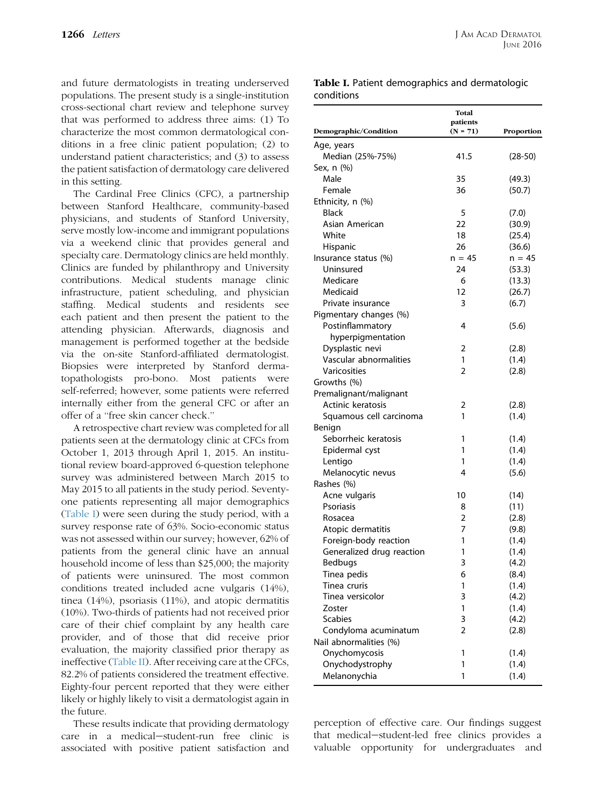and future dermatologists in treating underserved populations. The present study is a single-institution cross-sectional chart review and telephone survey that was performed to address three aims: (1) To characterize the most common dermatological conditions in a free clinic patient population; (2) to understand patient characteristics; and (3) to assess the patient satisfaction of dermatology care delivered in this setting.

The Cardinal Free Clinics (CFC), a partnership between Stanford Healthcare, community-based physicians, and students of Stanford University, serve mostly low-income and immigrant populations via a weekend clinic that provides general and specialty care. Dermatology clinics are held monthly. Clinics are funded by philanthropy and University contributions. Medical students manage clinic infrastructure, patient scheduling, and physician staffing. Medical students and residents see each patient and then present the patient to the attending physician. Afterwards, diagnosis and management is performed together at the bedside via the on-site Stanford-affiliated dermatologist. Biopsies were interpreted by Stanford dermatopathologists pro-bono. Most patients were self-referred; however, some patients were referred internally either from the general CFC or after an offer of a ''free skin cancer check.''

A retrospective chart review was completed for all patients seen at the dermatology clinic at CFCs from October 1, 2013 through April 1, 2015. An institutional review board-approved 6-question telephone survey was administered between March 2015 to May 2015 to all patients in the study period. Seventyone patients representing all major demographics (Table I) were seen during the study period, with a survey response rate of 63%. Socio-economic status was not assessed within our survey; however, 62% of patients from the general clinic have an annual household income of less than \$25,000; the majority of patients were uninsured. The most common conditions treated included acne vulgaris (14%), tinea (14%), psoriasis (11%), and atopic dermatitis (10%). Two-thirds of patients had not received prior care of their chief complaint by any health care provider, and of those that did receive prior evaluation, the majority classified prior therapy as ineffective [\(Table II\)](#page-2-0). After receiving care at the CFCs, 82.2% of patients considered the treatment effective. Eighty-four percent reported that they were either likely or highly likely to visit a dermatologist again in the future.

These results indicate that providing dermatology care in a medical-student-run free clinic is associated with positive patient satisfaction and

Table I. Patient demographics and dermatologic conditions

| Demographic/Condition                      | Total<br>patients<br>$(N = 71)$ | Proportion     |
|--------------------------------------------|---------------------------------|----------------|
| Age, years                                 |                                 |                |
| Median (25%-75%)                           | 41.5                            | $(28-50)$      |
| Sex, n (%)                                 |                                 |                |
| Male                                       | 35                              | (49.3)         |
| Female                                     | 36                              | (50.7)         |
| Ethnicity, n (%)                           |                                 |                |
| <b>Black</b>                               | 5                               | (7.0)          |
| Asian American                             | 22                              | (30.9)         |
| White                                      | 18                              | (25.4)         |
| Hispanic                                   | 26                              | (36.6)         |
| Insurance status (%)                       | $n = 45$                        | $n = 45$       |
| Uninsured                                  | 24                              | (53.3)         |
| Medicare                                   | 6                               | (13.3)         |
| Medicaid                                   | 12                              | (26.7)         |
| Private insurance                          | 3                               | (6.7)          |
|                                            |                                 |                |
| Pigmentary changes (%)<br>Postinflammatory | 4                               | (5.6)          |
|                                            |                                 |                |
| hyperpigmentation<br>Dysplastic nevi       | 2                               |                |
| Vascular abnormalities                     | 1                               | (2.8)<br>(1.4) |
| <b>Varicosities</b>                        | 2                               |                |
|                                            |                                 | (2.8)          |
| Growths (%)<br>Premalignant/malignant      |                                 |                |
|                                            |                                 |                |
| Actinic keratosis                          | 2                               | (2.8)          |
| Squamous cell carcinoma                    | 1                               | (1.4)          |
| Benign                                     |                                 |                |
| Seborrheic keratosis                       | 1<br>1                          | (1.4)          |
| Epidermal cyst                             |                                 | (1.4)          |
| Lentigo                                    | 1<br>4                          | (1.4)          |
| Melanocytic nevus                          |                                 | (5.6)          |
| Rashes (%)                                 |                                 |                |
| Acne vulgaris                              | 10                              | (14)           |
| Psoriasis                                  | 8                               | (11)           |
| Rosacea                                    | 2                               | (2.8)          |
| Atopic dermatitis                          | 7                               | (9.8)          |
| Foreign-body reaction                      | 1                               | (1.4)          |
| Generalized drug reaction                  | 1                               | (1.4)          |
| Bedbugs                                    | 3                               | (4.2)          |
| Tinea pedis                                | 6                               | (8.4)          |
| Tinea cruris                               | 1                               | (1.4)          |
| Tinea versicolor                           | 3                               | (4.2)          |
| Zoster                                     | 1                               | (1.4)          |
| Scabies                                    | 3                               | (4.2)          |
| Condyloma acuminatum                       | 2                               | (2.8)          |
| Nail abnormalities (%)                     |                                 |                |
| Onychomycosis                              | 1                               | (1.4)          |
| Onychodystrophy                            | 1                               | (1.4)          |
| Melanonychia                               | 1                               | (1.4)          |

perception of effective care. Our findings suggest that medical-student-led free clinics provides a valuable opportunity for undergraduates and